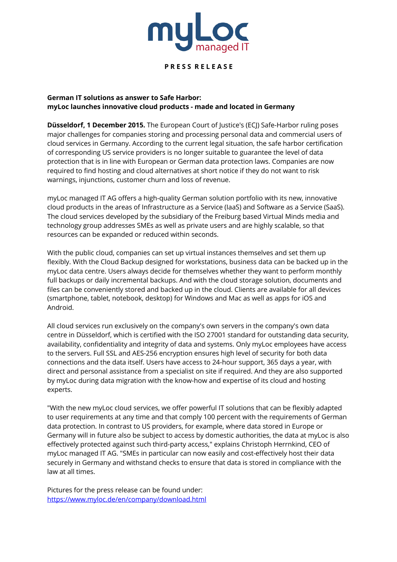

## **P R E S S R E L E A S E**

# **German IT solutions as answer to Safe Harbor: myLoc launches innovative cloud products - made and located in Germany**

**Düsseldorf, 1 December 2015.** The European Court of Justice's (ECJ) Safe-Harbor ruling poses major challenges for companies storing and processing personal data and commercial users of cloud services in Germany. According to the current legal situation, the safe harbor certification of corresponding US service providers is no longer suitable to guarantee the level of data protection that is in line with European or German data protection laws. Companies are now required to find hosting and cloud alternatives at short notice if they do not want to risk warnings, injunctions, customer churn and loss of revenue.

myLoc managed IT AG offers a high-quality German solution portfolio with its new, innovative cloud products in the areas of Infrastructure as a Service (IaaS) and Software as a Service (SaaS). The cloud services developed by the subsidiary of the Freiburg based Virtual Minds media and technology group addresses SMEs as well as private users and are highly scalable, so that resources can be expanded or reduced within seconds.

With the public cloud, companies can set up virtual instances themselves and set them up flexibly. With the Cloud Backup designed for workstations, business data can be backed up in the myLoc data centre. Users always decide for themselves whether they want to perform monthly full backups or daily incremental backups. And with the cloud storage solution, documents and files can be conveniently stored and backed up in the cloud. Clients are available for all devices (smartphone, tablet, notebook, desktop) for Windows and Mac as well as apps for iOS and Android.

All cloud services run exclusively on the company's own servers in the company's own data centre in Düsseldorf, which is certified with the ISO 27001 standard for outstanding data security, availability, confidentiality and integrity of data and systems. Only myLoc employees have access to the servers. Full SSL and AES-256 encryption ensures high level of security for both data connections and the data itself. Users have access to 24-hour support, 365 days a year, with direct and personal assistance from a specialist on site if required. And they are also supported by myLoc during data migration with the know-how and expertise of its cloud and hosting experts.

"With the new myLoc cloud services, we offer powerful IT solutions that can be flexibly adapted to user requirements at any time and that comply 100 percent with the requirements of German data protection. In contrast to US providers, for example, where data stored in Europe or Germany will in future also be subject to access by domestic authorities, the data at myLoc is also effectively protected against such third-party access," explains Christoph Herrnkind, CEO of myLoc managed IT AG. "SMEs in particular can now easily and cost-effectively host their data securely in Germany and withstand checks to ensure that data is stored in compliance with the law at all times.

Pictures for the press release can be found under: https://www.myloc.de/en/company/download.html